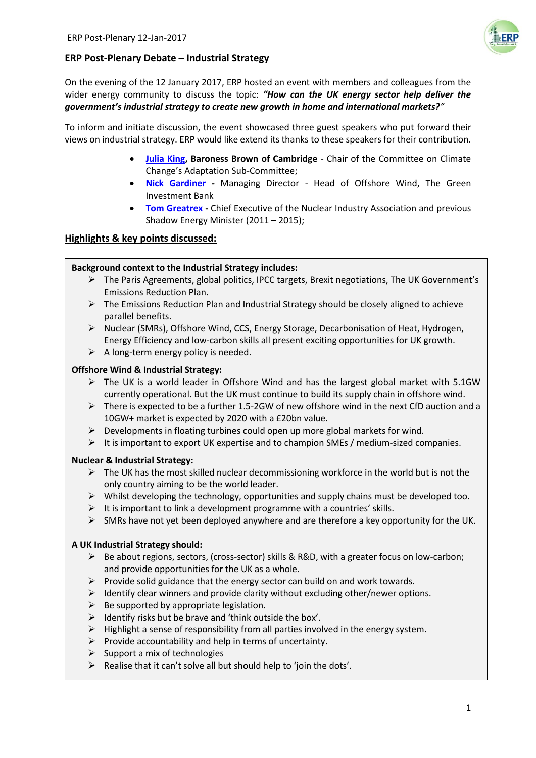# **ERP Post-Plenary Debate – Industrial Strategy**

On the evening of the 12 January 2017, ERP hosted an event with members and colleagues from the wider energy community to discuss the topic: *"How can the UK energy sector help deliver the government's industrial strategy to create new growth in home and international markets?"*

To inform and initiate discussion, the event showcased three guest speakers who put forward their views on industrial strategy. ERP would like extend its thanks to these speakers for their contribution.

- **[Julia King,](https://www.theccc.org.uk/2017/01/05/new-chair-of-the-adaptation-sub-committee-is-announced/) Baroness Brown of Cambridge** Chair of the Committee on Climate Change's Adaptation Sub-Committee;
- **[Nick Gardiner](http://www.greeninvestmentbank.com/team/) -** Managing Director Head of Offshore Wind, The Green Investment Bank
- **[Tom Greatrex](https://www.niauk.org/about-us/our-people/) -** Chief Executive of the Nuclear Industry Association and previous Shadow Energy Minister (2011 – 2015);

# **Highlights & key points discussed:**

#### **Background context to the Industrial Strategy includes:**

- $\triangleright$  The Paris Agreements, global politics, IPCC targets, Brexit negotiations, The UK Government's Emissions Reduction Plan.
- $\triangleright$  The Emissions Reduction Plan and Industrial Strategy should be closely aligned to achieve parallel benefits.
- $\triangleright$  Nuclear (SMRs), Offshore Wind, CCS, Energy Storage, Decarbonisation of Heat, Hydrogen, Energy Efficiency and low-carbon skills all present exciting opportunities for UK growth.
- $\triangleright$  A long-term energy policy is needed.

#### **Offshore Wind & Industrial Strategy:**

- $\triangleright$  The UK is a world leader in Offshore Wind and has the largest global market with 5.1GW currently operational. But the UK must continue to build its supply chain in offshore wind.
- $\triangleright$  There is expected to be a further 1.5-2GW of new offshore wind in the next CfD auction and a 10GW+ market is expected by 2020 with a £20bn value.
- $\triangleright$  Developments in floating turbines could open up more global markets for wind.
- $\triangleright$  It is important to export UK expertise and to champion SMEs / medium-sized companies.

#### **Nuclear & Industrial Strategy:**

- $\triangleright$  The UK has the most skilled nuclear decommissioning workforce in the world but is not the only country aiming to be the world leader.
- $\triangleright$  Whilst developing the technology, opportunities and supply chains must be developed too.
- $\triangleright$  It is important to link a development programme with a countries' skills.
- $\triangleright$  SMRs have not yet been deployed anywhere and are therefore a key opportunity for the UK.

#### **A UK Industrial Strategy should:**

- $\triangleright$  Be about regions, sectors, (cross-sector) skills & R&D, with a greater focus on low-carbon; and provide opportunities for the UK as a whole.
- $\triangleright$  Provide solid guidance that the energy sector can build on and work towards.
- $\triangleright$  Identify clear winners and provide clarity without excluding other/newer options.
- $\triangleright$  Be supported by appropriate legislation.
- $\triangleright$  Identify risks but be brave and 'think outside the box'.
- $\triangleright$  Highlight a sense of responsibility from all parties involved in the energy system.
- $\triangleright$  Provide accountability and help in terms of uncertainty.
- $\triangleright$  Support a mix of technologies
- $\triangleright$  Realise that it can't solve all but should help to 'join the dots'.

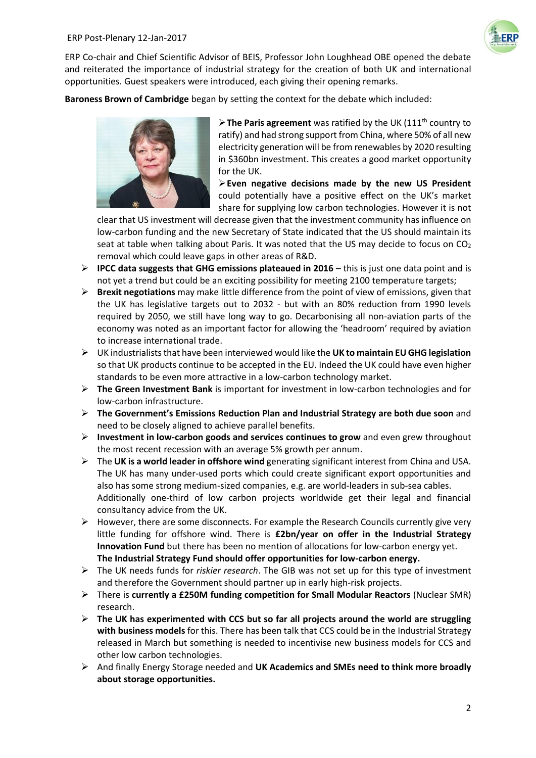

ERP Co-chair and Chief Scientific Advisor of BEIS, Professor John Loughhead OBE opened the debate and reiterated the importance of industrial strategy for the creation of both UK and international opportunities. Guest speakers were introduced, each giving their opening remarks.

**Baroness Brown of Cambridge** began by setting the context for the debate which included:



**Extemparise 2 The Paris agreement** was ratified by the UK (111<sup>th</sup> country to ratify) and had strong support from China, where 50% of all new electricity generation will be from renewables by 2020 resulting in \$360bn investment. This creates a good market opportunity for the UK.

**Even negative decisions made by the new US President** could potentially have a positive effect on the UK's market share for supplying low carbon technologies. However it is not

clear that US investment will decrease given that the investment community has influence on low-carbon funding and the new Secretary of State indicated that the US should maintain its seat at table when talking about Paris. It was noted that the US may decide to focus on  $CO<sub>2</sub>$ removal which could leave gaps in other areas of R&D.

- **IPCC data suggests that GHG emissions plateaued in 2016** this is just one data point and is not yet a trend but could be an exciting possibility for meeting 2100 temperature targets;
- **Brexit negotiations** may make little difference from the point of view of emissions, given that the UK has legislative targets out to 2032 - but with an 80% reduction from 1990 levels required by 2050, we still have long way to go. Decarbonising all non-aviation parts of the economy was noted as an important factor for allowing the 'headroom' required by aviation to increase international trade.
- UK industrialiststhat have been interviewed would like the **UK to maintain EU GHG legislation** so that UK products continue to be accepted in the EU. Indeed the UK could have even higher standards to be even more attractive in a low-carbon technology market.
- **The Green Investment Bank** is important for investment in low-carbon technologies and for low-carbon infrastructure.
- **The Government's Emissions Reduction Plan and Industrial Strategy are both due soon** and need to be closely aligned to achieve parallel benefits.
- **Investment in low-carbon goods and services continues to grow** and even grew throughout the most recent recession with an average 5% growth per annum.
- The **UK is a world leader in offshore wind** generating significant interest from China and USA. The UK has many under-used ports which could create significant export opportunities and also has some strong medium-sized companies, e.g. are world-leaders in sub-sea cables. Additionally one-third of low carbon projects worldwide get their legal and financial consultancy advice from the UK.
- $\triangleright$  However, there are some disconnects. For example the Research Councils currently give very little funding for offshore wind. There is **£2bn/year on offer in the Industrial Strategy Innovation Fund** but there has been no mention of allocations for low-carbon energy yet. **The Industrial Strategy Fund should offer opportunities for low-carbon energy.**
- The UK needs funds for *riskier research*. The GIB was not set up for this type of investment and therefore the Government should partner up in early high-risk projects.
- There is **currently a £250M funding competition for Small Modular Reactors** (Nuclear SMR) research.
- **The UK has experimented with CCS but so far all projects around the world are struggling with business models** for this. There has been talk that CCS could be in the Industrial Strategy released in March but something is needed to incentivise new business models for CCS and other low carbon technologies.
- And finally Energy Storage needed and **UK Academics and SMEs need to think more broadly about storage opportunities.**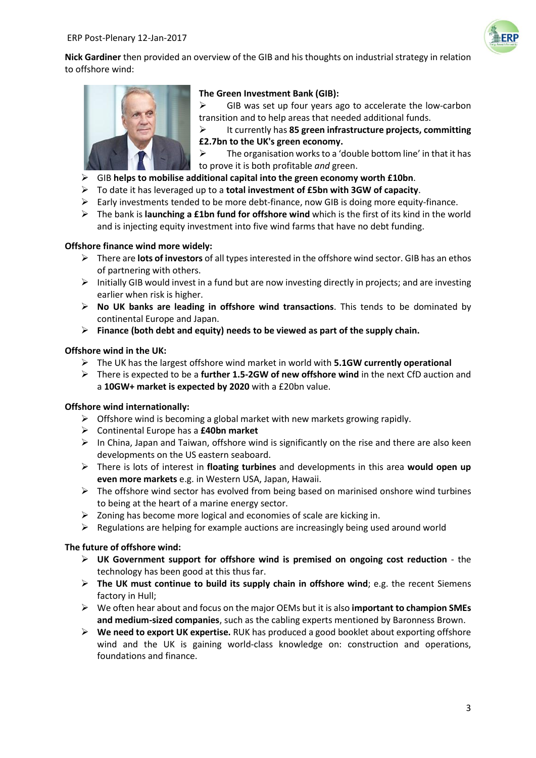

**Nick Gardiner** then provided an overview of the GIB and his thoughts on industrial strategy in relation to offshore wind:



#### **The Green Investment Bank (GIB):**

 $\triangleright$  GIB was set up four years ago to accelerate the low-carbon transition and to help areas that needed additional funds.

 It currently has **85 green infrastructure projects, committing £2.7bn to the UK's green economy.** 

 $\triangleright$  The organisation works to a 'double bottom line' in that it has to prove it is both profitable *and* green.

- GIB **helps to mobilise additional capital into the green economy worth £10bn**.
- To date it has leveraged up to a **total investment of £5bn with 3GW of capacity**.
- $\triangleright$  Early investments tended to be more debt-finance, now GIB is doing more equity-finance.
- The bank is **launching a £1bn fund for offshore wind** which is the first of its kind in the world and is injecting equity investment into five wind farms that have no debt funding.

#### **Offshore finance wind more widely:**

- There are **lots of investors** of all types interested in the offshore wind sector. GIB has an ethos of partnering with others.
- $\triangleright$  Initially GIB would invest in a fund but are now investing directly in projects; and are investing earlier when risk is higher.
- **No UK banks are leading in offshore wind transactions**. This tends to be dominated by continental Europe and Japan.
- **Finance (both debt and equity) needs to be viewed as part of the supply chain.**

#### **Offshore wind in the UK:**

- The UK has the largest offshore wind market in world with **5.1GW currently operational**
- There is expected to be a **further 1.5-2GW of new offshore wind** in the next CfD auction and a **10GW+ market is expected by 2020** with a £20bn value.

# **Offshore wind internationally:**

- $\triangleright$  Offshore wind is becoming a global market with new markets growing rapidly.
- Continental Europe has a **£40bn market**
- $\triangleright$  In China, Japan and Taiwan, offshore wind is significantly on the rise and there are also keen developments on the US eastern seaboard.
- There is lots of interest in **floating turbines** and developments in this area **would open up even more markets** e.g. in Western USA, Japan, Hawaii.
- $\triangleright$  The offshore wind sector has evolved from being based on marinised onshore wind turbines to being at the heart of a marine energy sector.
- $\triangleright$  Zoning has become more logical and economies of scale are kicking in.
- $\triangleright$  Regulations are helping for example auctions are increasingly being used around world

# **The future of offshore wind:**

- **UK Government support for offshore wind is premised on ongoing cost reduction** the technology has been good at this thus far.
- **The UK must continue to build its supply chain in offshore wind**; e.g. the recent Siemens factory in Hull;
- We often hear about and focus on the major OEMs but it is also **important to champion SMEs and medium-sized companies**, such as the cabling experts mentioned by Baronness Brown.
- **We need to export UK expertise.** RUK has produced a good booklet about exporting offshore wind and the UK is gaining world-class knowledge on: construction and operations, foundations and finance.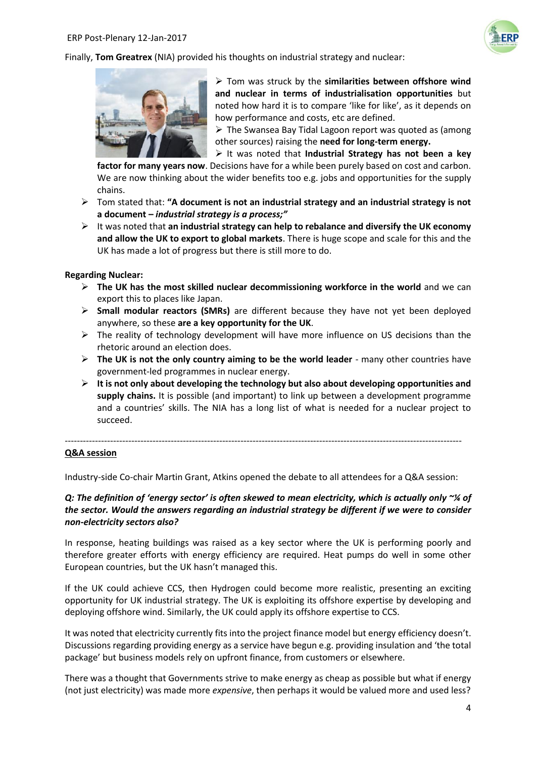

Finally, **Tom Greatrex** (NIA) provided his thoughts on industrial strategy and nuclear:



 Tom was struck by the **similarities between offshore wind and nuclear in terms of industrialisation opportunities** but noted how hard it is to compare 'like for like', as it depends on how performance and costs, etc are defined.

 $\triangleright$  The Swansea Bay Tidal Lagoon report was quoted as (among other sources) raising the **need for long-term energy.**

It was noted that **Industrial Strategy has not been a key** 

**factor for many years now**. Decisions have for a while been purely based on cost and carbon. We are now thinking about the wider benefits too e.g. jobs and opportunities for the supply chains.

- Tom stated that: **"A document is not an industrial strategy and an industrial strategy is not a document –** *industrial strategy is a process;"*
- $\triangleright$  It was noted that **an industrial strategy can help to rebalance and diversify the UK economy and allow the UK to export to global markets**. There is huge scope and scale for this and the UK has made a lot of progress but there is still more to do.

#### **Regarding Nuclear:**

- **The UK has the most skilled nuclear decommissioning workforce in the world** and we can export this to places like Japan.
- **Small modular reactors (SMRs)** are different because they have not yet been deployed anywhere, so these **are a key opportunity for the UK**.
- $\triangleright$  The reality of technology development will have more influence on US decisions than the rhetoric around an election does.
- **The UK is not the only country aiming to be the world leader** many other countries have government-led programmes in nuclear energy.
- $\triangleright$  It is not only about developing the technology but also about developing opportunities and **supply chains.** It is possible (and important) to link up between a development programme and a countries' skills. The NIA has a long list of what is needed for a nuclear project to succeed.

#### **Q&A session**

Industry-side Co-chair Martin Grant, Atkins opened the debate to all attendees for a Q&A session:

-----------------------------------------------------------------------------------------------------------------------------------

# *Q: The definition of 'energy sector' is often skewed to mean electricity, which is actually only ~¼ of the sector. Would the answers regarding an industrial strategy be different if we were to consider non-electricity sectors also?*

In response, heating buildings was raised as a key sector where the UK is performing poorly and therefore greater efforts with energy efficiency are required. Heat pumps do well in some other European countries, but the UK hasn't managed this.

If the UK could achieve CCS, then Hydrogen could become more realistic, presenting an exciting opportunity for UK industrial strategy. The UK is exploiting its offshore expertise by developing and deploying offshore wind. Similarly, the UK could apply its offshore expertise to CCS.

It was noted that electricity currently fits into the project finance model but energy efficiency doesn't. Discussions regarding providing energy as a service have begun e.g. providing insulation and 'the total package' but business models rely on upfront finance, from customers or elsewhere.

There was a thought that Governments strive to make energy as cheap as possible but what if energy (not just electricity) was made more *expensive*, then perhaps it would be valued more and used less?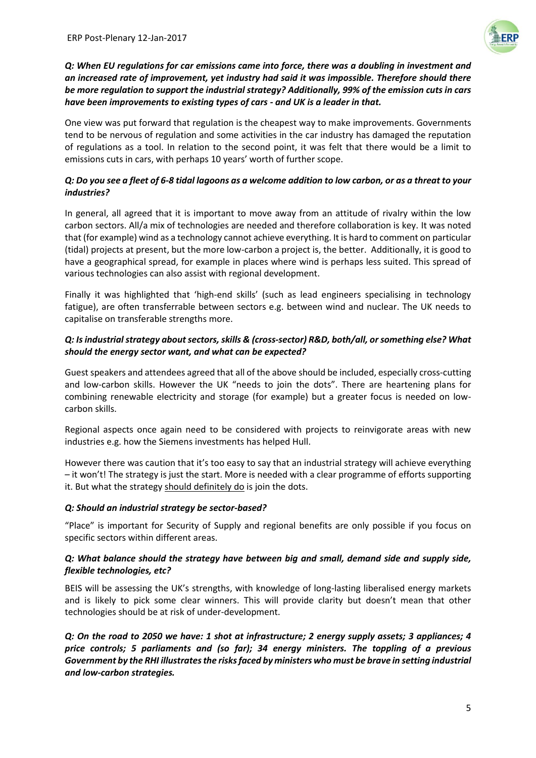

*Q: When EU regulations for car emissions came into force, there was a doubling in investment and an increased rate of improvement, yet industry had said it was impossible. Therefore should there be more regulation to support the industrial strategy? Additionally, 99% of the emission cuts in cars have been improvements to existing types of cars - and UK is a leader in that.*

One view was put forward that regulation is the cheapest way to make improvements. Governments tend to be nervous of regulation and some activities in the car industry has damaged the reputation of regulations as a tool. In relation to the second point, it was felt that there would be a limit to emissions cuts in cars, with perhaps 10 years' worth of further scope.

# *Q: Do you see a fleet of 6-8 tidal lagoons as a welcome addition to low carbon, or as a threat to your industries?*

In general, all agreed that it is important to move away from an attitude of rivalry within the low carbon sectors. All/a mix of technologies are needed and therefore collaboration is key. It was noted that (for example) wind as a technology cannot achieve everything. It is hard to comment on particular (tidal) projects at present, but the more low-carbon a project is, the better. Additionally, it is good to have a geographical spread, for example in places where wind is perhaps less suited. This spread of various technologies can also assist with regional development.

Finally it was highlighted that 'high-end skills' (such as lead engineers specialising in technology fatigue), are often transferrable between sectors e.g. between wind and nuclear. The UK needs to capitalise on transferable strengths more.

# *Q: Is industrial strategy about sectors, skills & (cross-sector) R&D, both/all, or something else? What should the energy sector want, and what can be expected?*

Guest speakers and attendees agreed that all of the above should be included, especially cross-cutting and low-carbon skills. However the UK "needs to join the dots". There are heartening plans for combining renewable electricity and storage (for example) but a greater focus is needed on lowcarbon skills.

Regional aspects once again need to be considered with projects to reinvigorate areas with new industries e.g. how the Siemens investments has helped Hull.

However there was caution that it's too easy to say that an industrial strategy will achieve everything – it won't! The strategy is just the start. More is needed with a clear programme of efforts supporting it. But what the strategy should definitely do is join the dots.

# *Q: Should an industrial strategy be sector-based?*

"Place" is important for Security of Supply and regional benefits are only possible if you focus on specific sectors within different areas.

# *Q: What balance should the strategy have between big and small, demand side and supply side, flexible technologies, etc?*

BEIS will be assessing the UK's strengths, with knowledge of long-lasting liberalised energy markets and is likely to pick some clear winners. This will provide clarity but doesn't mean that other technologies should be at risk of under-development.

*Q: On the road to 2050 we have: 1 shot at infrastructure; 2 energy supply assets; 3 appliances; 4 price controls; 5 parliaments and (so far); 34 energy ministers. The toppling of a previous Government by the RHI illustrates the risks faced by ministers who must be brave in setting industrial and low-carbon strategies.*